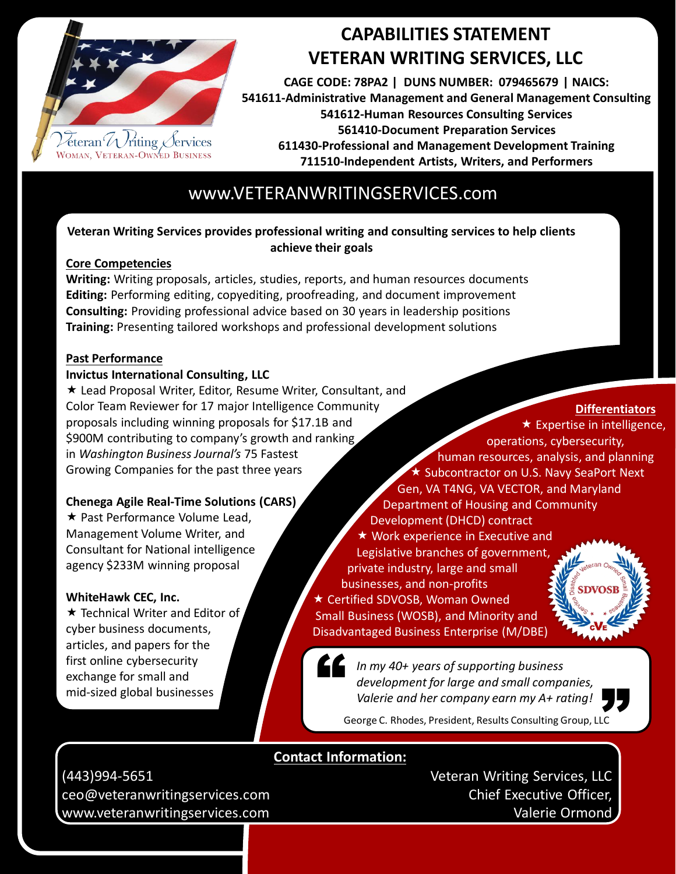

## **CAPABILITIES STATEMENT VETERAN WRITING SERVICES, LLC**

**CAGE CODE: 78PA2 | DUNS NUMBER: 079465679 | NAICS: 541611-Administrative Management and General Management Consulting 541612-Human Resources Consulting Services 561410-Document Preparation Services 611430-Professional and Management Development Training 711510-Independent Artists, Writers, and Performers**

## www.VETERANWRITINGSERVICES.com

### **Veteran Writing Services provides professional writing and consulting services to help clients achieve their goals**

#### **Core Competencies**

**Writing:** Writing proposals, articles, studies, reports, and human resources documents **Editing:** Performing editing, copyediting, proofreading, and document improvement **Consulting:** Providing professional advice based on 30 years in leadership positions **Training:** Presenting tailored workshops and professional development solutions

#### **Past Performance**

#### **Invictus International Consulting, LLC**

 Lead Proposal Writer, Editor, Resume Writer, Consultant, and Color Team Reviewer for 17 major Intelligence Community proposals including winning proposals for \$17.1B and \$900M contributing to company's growth and ranking in *Washington Business Journal's* 75 Fastest Growing Companies for the past three years

### **Chenega Agile Real-Time Solutions (CARS)**

**★ Past Performance Volume Lead,** Management Volume Writer, and Consultant for National intelligence agency \$233M winning proposal

#### **WhiteHawk CEC, Inc.**

★ Technical Writer and Editor of cyber business documents, articles, and papers for the first online cybersecurity exchange for small and mid-sized global businesses

**Differentiators**

",<br>"

 $\star$  Expertise in intelligence, operations, cybersecurity, human resources, analysis, and planning ★ Subcontractor on U.S. Navy SeaPort Next Gen, VA T4NG, VA VECTOR, and Maryland Department of Housing and Community Development (DHCD) contract **★ Work experience in Executive and** Legislative branches of government, private industry, large and small businesses, and non-profits **DVOS**  Certified SDVOSB, Woman Owned Small Business (WOSB), and Minority and Disadvantaged Business Enterprise (M/DBE)

*In my 40+ years of supporting business development for large and small companies, Valerie and her company earn my A+ rating!*  $\overline{a}$ 

George C. Rhodes, President, Results Consulting Group, LLC

## **Contact Information:**

(443)994-5651 ceo@veteranwritingservices.com www.veteranwritingservices.com

Veteran Writing Services, LLC Chief Executive Officer, Valerie Ormond